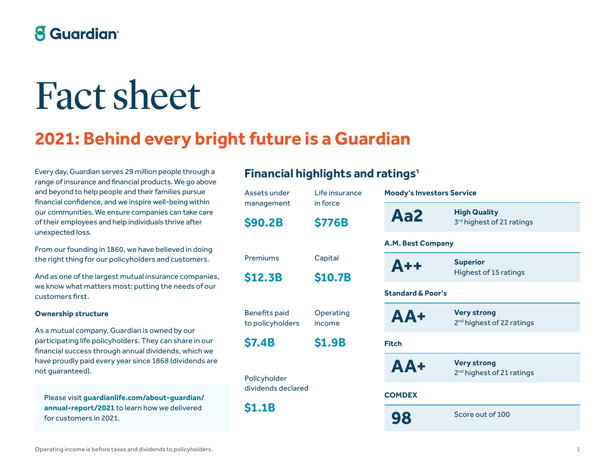## **8 Guardian**

# Fact sheet

# **2021: Behind every bright future is a Guardian**

Every day, Guardian serves 29 million people through a range of insurance and financial products. We go above and beyond to help people and their families pursue financial confidence, and we inspire well-being within our communities. We ensure companies can take care of their employees and help individuals thrive after unexpected loss.

From our founding in 1860, we have believed in doing the right thing for our policyholders and customers.

And as one of the largest mutual insurance companies, we know what matters most: putting the needs of our customers first.

#### **Ownership structure**

As a mutual company, Guardian is owned by our participating life policyholders. They can share in our financial success through annual dividends, which we have proudly paid every year since 1868 (dividends are not guaranteed).

Please visit **guardianlife.com/about-guardian/ annual-report/2021** to learn how we delivered for customers in 2021.

## **Financial highlights and ratings**1

| Assets under                             | Life insurance            | <b>Moody's Inve</b>      |
|------------------------------------------|---------------------------|--------------------------|
| management<br><b>\$90.2B</b>             | in force<br><b>\$776B</b> | Aa2                      |
|                                          |                           | A.M. Best Cor            |
| Premiums                                 | Capital                   | $A++$                    |
| \$12.3B                                  | \$10.7B                   |                          |
|                                          |                           | <b>Standard &amp; Po</b> |
| <b>Benefits paid</b><br>to policyholders | Operating<br>income       | AA+                      |
| <b>\$7.4B</b>                            | \$1.9B                    | <b>Fitch</b>             |
| Policyholder                             |                           | AA+                      |
| dividends declared                       |                           | <b>COMDEX</b>            |
| <b>\$1.1B</b>                            |                           | 98                       |

| <b>Moody's Investors Service</b> |                                                             |  |
|----------------------------------|-------------------------------------------------------------|--|
| Aa2                              | <b>High Quality</b><br>3rd highest of 21 ratings            |  |
| <b>A.M. Best Company</b>         |                                                             |  |
| $A++$                            | <b>Superior</b><br>Highest of 15 ratings                    |  |
| <b>Standard &amp; Poor's</b>     |                                                             |  |
| AA+                              | <b>Very strong</b><br>2 <sup>nd</sup> highest of 22 ratings |  |
| Fitch                            |                                                             |  |
| $AA+$                            | <b>Very strong</b><br>2 <sup>nd</sup> highest of 21 ratings |  |
| <b>COMDEX</b>                    |                                                             |  |
| 98                               | Score out of 100                                            |  |